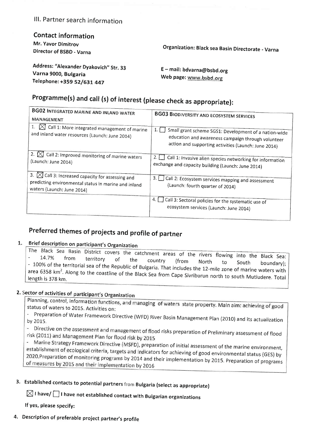### lll. Partner search information

Contact information Mr. Yavor Dimitrov

Director of BSBD - Varna

Organization: Black sea Basin Directorate - Varna

Address: "Alexander Dyakovich" Str. 33 Varna 9000, Bulgaria Telephone: +359 52/631 447

<sup>E</sup>- mail: bdvarna@bsbd.org Web page: www.bsbd.org

# Programme(s) and call (s) of interest (please check as appropriate):

| <b>BG02 INTEGRATED MARINE AND INLAND WATER</b><br>MANAGEMENT                                                                                         | <b>BG03 BIODIVERSITY AND ECOSYSTEM SERVICES</b>                                                                                                                            |
|------------------------------------------------------------------------------------------------------------------------------------------------------|----------------------------------------------------------------------------------------------------------------------------------------------------------------------------|
| Call 1: More integrated management of marine<br>and inland water resources (Launch: June 2014)                                                       | 1.1<br>Small grant scheme SGS1: Development of a nation-wide<br>education and awareness campaign through volunteer<br>action and supporting activities (Launch: June 2014) |
| 2. $ \times $<br>Call 2: Improved monitoring of marine waters<br>(Launch: June 2014)                                                                 | Call 1: Invasive alien species networking for information<br>exchange and capacity building (Launch: June 2014)                                                            |
| 3.<br>$\boxtimes$ Call 3: Increased capacity for assessing and<br>predicting environmental status in marine and inland<br>waters (Launch: June 2014) | $3.1 \text{ }$<br>Call 2: Ecosystem services mapping and assessment<br>(Launch: fourth quarter of 2014)                                                                    |
|                                                                                                                                                      | Call 3: Sectoral policies for the systematic use of<br>ecosystem services (Launch: June 2014)                                                                              |

## Preferred themes of projects and profile of partner

#### Brief description on participant's Organization 1.

The Black Sea Basin District covers the catchment areas of the rivers flowing into the Black Sea:<br>- 14.7% from territory of the country (from North to South boundary): 14.7% from territory of the country (from North to South boundary)<br>100% of the territorial sea of the Republic of Bulgaria. That includes the 12-mile zone of marine waters with the of the country (from North to South boundary);<br>area 6358 km<sup>2</sup>. Along to the coastline of the Black Sea from Cape Sivriburun north to south Mutludere. Total area 6358 km<sup>2</sup>. Along to the coastline of the Black Sea from Cap

### 2. Sector of activities of

Planning, control, information functions, and managing of waters state property. Main aim: achieving of good status of waters to 2015, Activities on:

- Preparation of Water Framework Directive (WFD) River Basin Management Plan (2010) and its actualizatior<br>by 2015.

- Directive on the assessment and management of flood risks preparation of Preliminary assessment of flood risk (2011) and Management Plan for flood risk by 2015

- Marine Strategy Framework Directive (MSFD), preparation of Initial assessment of the marine environment, establishment of ecological criteria, targets and indicators for achieving of good environmental status (GES) by 2020. Preparation of monitoring programs by 2014 and their implementation by 2015. Preparation of programs of measures by 2015 and their implementation by 2016

3. Established contacts to potential partners from Bulgaria (select as appropriate)

 $\boxtimes$  I have/  $\Box$  I have not established contact with Bulgarian organizations

lf yes, please specify:

4. Description of preferable project partner's profile